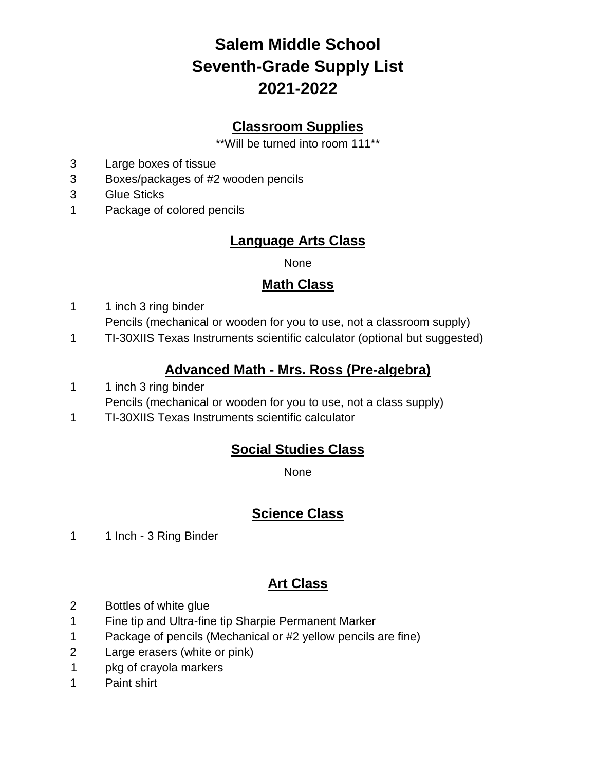# **Salem Middle School Seventh-Grade Supply List 2021-2022**

## **Classroom Supplies**

\*\*Will be turned into room 111\*\*

- 3 Large boxes of tissue
- 3 Boxes/packages of #2 wooden pencils
- 3 Glue Sticks
- 1 Package of colored pencils

## **Language Arts Class**

#### None

#### **Math Class**

- 1 1 inch 3 ring binder
	- Pencils (mechanical or wooden for you to use, not a classroom supply)
- 1 TI-30XIIS Texas Instruments scientific calculator (optional but suggested)

## **Advanced Math - Mrs. Ross (Pre-algebra)**

- 1 1 inch 3 ring binder Pencils (mechanical or wooden for you to use, not a class supply)
- 1 TI-30XIIS Texas Instruments scientific calculator

## **Social Studies Class**

None

## **Science Class**

1 1 Inch - 3 Ring Binder

# **Art Class**

- 2 Bottles of white glue
- 1 Fine tip and Ultra-fine tip Sharpie Permanent Marker
- 1 Package of pencils (Mechanical or #2 yellow pencils are fine)
- 2 Large erasers (white or pink)
- 1 pkg of crayola markers
- 1 Paint shirt